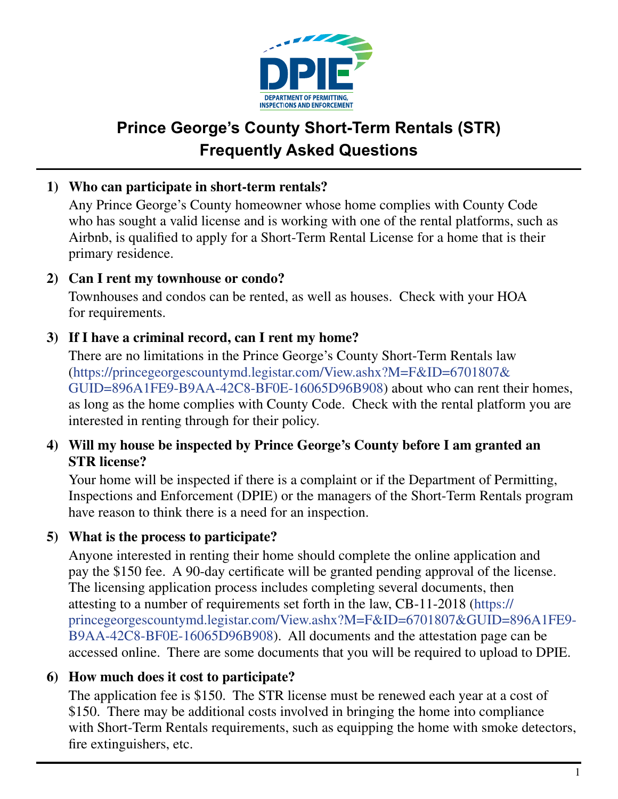

# **Prince George's County Short-Term Rentals (STR) Frequently Asked Questions**

# **1) Who can participate in short-term rentals?**

 Any Prince George's County homeowner whose home complies with County Code who has sought a valid license and is working with one of the rental platforms, such as Airbnb, is qualified to apply for a Short-Term Rental License for a home that is their primary residence.

# **2) Can I rent my townhouse or condo?**

 Townhouses and condos can be rented, as well as houses. Check with your HOA for requirements.

# **3) If I have a criminal record, can I rent my home?**

 There are no limitations in the Prince George's County Short-Term Rentals law (https://princegeorgescountymd.legistar.com/View.ashx?M=F&ID=6701807& GUID=896A1FE9-B9AA-42C8-BF0E-16065D96B908) about who can rent their homes, as long as the home complies with County Code. Check with the rental platform you are interested in renting through for their policy.

#### **4) Will my house be inspected by Prince George's County before I am granted an STR license?**

 Your home will be inspected if there is a complaint or if the Department of Permitting, Inspections and Enforcement (DPIE) or the managers of the Short-Term Rentals program have reason to think there is a need for an inspection.

## **5) What is the process to participate?**

 Anyone interested in renting their home should complete the online application and pay the \$150 fee. A 90-day certificate will be granted pending approval of the license. The licensing application process includes completing several documents, then attesting to a number of requirements set forth in the law, CB-11-2018 (https:// princegeorgescountymd.legistar.com/View.ashx?M=F&ID=6701807&GUID=896A1FE9- B9AA-42C8-BF0E-16065D96B908). All documents and the attestation page can be accessed online. There are some documents that you will be required to upload to DPIE.

## **6) How much does it cost to participate?**

 The application fee is \$150. The STR license must be renewed each year at a cost of \$150. There may be additional costs involved in bringing the home into compliance with Short-Term Rentals requirements, such as equipping the home with smoke detectors, fire extinguishers, etc.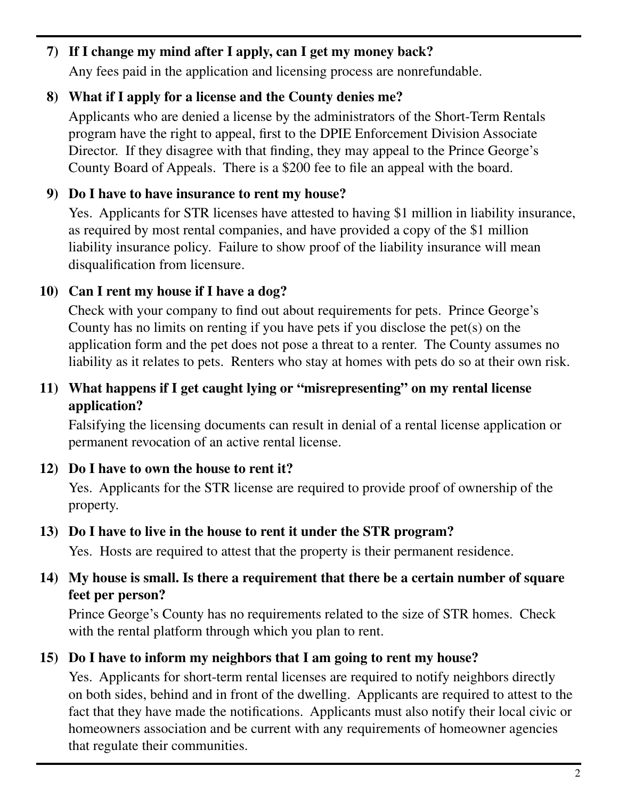# **7) If I change my mind after I apply, can I get my money back?**

Any fees paid in the application and licensing process are nonrefundable.

# **8) What if I apply for a license and the County denies me?**

 Applicants who are denied a license by the administrators of the Short-Term Rentals program have the right to appeal, first to the DPIE Enforcement Division Associate Director. If they disagree with that finding, they may appeal to the Prince George's County Board of Appeals. There is a \$200 fee to file an appeal with the board.

# **9) Do I have to have insurance to rent my house?**

 Yes. Applicants for STR licenses have attested to having \$1 million in liability insurance, as required by most rental companies, and have provided a copy of the \$1 million liability insurance policy. Failure to show proof of the liability insurance will mean disqualification from licensure.

# **10) Can I rent my house if I have a dog?**

 Check with your company to find out about requirements for pets. Prince George's County has no limits on renting if you have pets if you disclose the pet(s) on the application form and the pet does not pose a threat to a renter. The County assumes no liability as it relates to pets. Renters who stay at homes with pets do so at their own risk.

# **11) What happens if I get caught lying or "misrepresenting" on my rental license application?**

 Falsifying the licensing documents can result in denial of a rental license application or permanent revocation of an active rental license.

## **12) Do I have to own the house to rent it?**

 Yes. Applicants for the STR license are required to provide proof of ownership of the property.

## **13) Do I have to live in the house to rent it under the STR program?**

Yes. Hosts are required to attest that the property is their permanent residence.

## **14) My house is small. Is there a requirement that there be a certain number of square feet per person?**

 Prince George's County has no requirements related to the size of STR homes. Check with the rental platform through which you plan to rent.

# **15) Do I have to inform my neighbors that I am going to rent my house?**

 Yes. Applicants for short-term rental licenses are required to notify neighbors directly on both sides, behind and in front of the dwelling. Applicants are required to attest to the fact that they have made the notifications. Applicants must also notify their local civic or homeowners association and be current with any requirements of homeowner agencies that regulate their communities.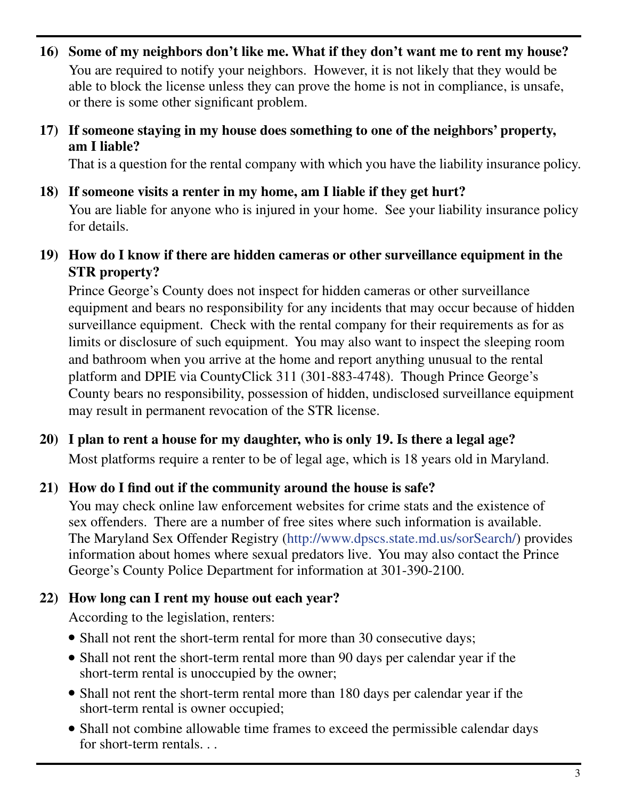**16) Some of my neighbors don't like me. What if they don't want me to rent my house?** You are required to notify your neighbors. However, it is not likely that they would be able to block the license unless they can prove the home is not in compliance, is unsafe, or there is some other significant problem.

#### **17) If someone staying in my house does something to one of the neighbors' property, am I liable?**

That is a question for the rental company with which you have the liability insurance policy.

**18) If someone visits a renter in my home, am I liable if they get hurt?**

 You are liable for anyone who is injured in your home. See your liability insurance policy for details.

**19) How do I know if there are hidden cameras or other surveillance equipment in the STR property?**

Prince George's County does not inspect for hidden cameras or other surveillance equipment and bears no responsibility for any incidents that may occur because of hidden surveillance equipment. Check with the rental company for their requirements as for as limits or disclosure of such equipment. You may also want to inspect the sleeping room and bathroom when you arrive at the home and report anything unusual to the rental platform and DPIE via CountyClick 311 (301-883-4748). Though Prince George's County bears no responsibility, possession of hidden, undisclosed surveillance equipment may result in permanent revocation of the STR license.

**20) I plan to rent a house for my daughter, who is only 19. Is there a legal age?** Most platforms require a renter to be of legal age, which is 18 years old in Maryland.

## **21) How do I find out if the community around the house is safe?**

 You may check online law enforcement websites for crime stats and the existence of sex offenders. There are a number of free sites where such information is available. The Maryland Sex Offender Registry (http://www.dpscs.state.md.us/sorSearch/) provides information about homes where sexual predators live. You may also contact the Prince George's County Police Department for information at 301-390-2100.

#### **22) How long can I rent my house out each year?**

According to the legislation, renters:

- Shall not rent the short-term rental for more than 30 consecutive days;
- Shall not rent the short-term rental more than 90 days per calendar year if the short-term rental is unoccupied by the owner;
- Shall not rent the short-term rental more than 180 days per calendar year if the short-term rental is owner occupied;
- Shall not combine allowable time frames to exceed the permissible calendar days for short-term rentals. . .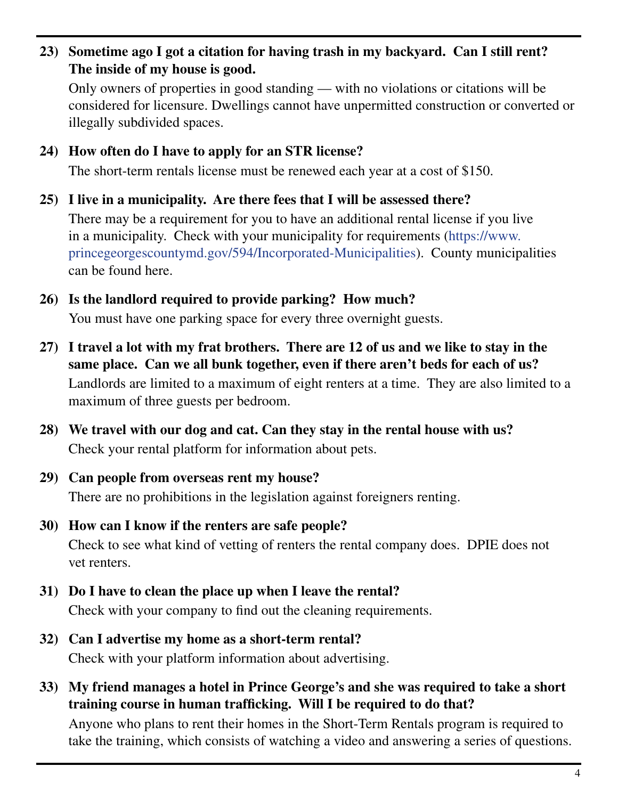**23) Sometime ago I got a citation for having trash in my backyard. Can I still rent? The inside of my house is good.**

 Only owners of properties in good standing — with no violations or citations will be considered for licensure. Dwellings cannot have unpermitted construction or converted or illegally subdivided spaces.

**24) How often do I have to apply for an STR license?**

The short-term rentals license must be renewed each year at a cost of \$150.

**25) I live in a municipality. Are there fees that I will be assessed there?** There may be a requirement for you to have an additional rental license if you live in a municipality. Check with your municipality for requirements (https://www. princegeorgescountymd.gov/594/Incorporated-Municipalities). County municipalities

can be found here.

**26) Is the landlord required to provide parking? How much?**

You must have one parking space for every three overnight guests.

- **27) I travel a lot with my frat brothers. There are 12 of us and we like to stay in the same place. Can we all bunk together, even if there aren't beds for each of us?** Landlords are limited to a maximum of eight renters at a time. They are also limited to a maximum of three guests per bedroom.
- **28) We travel with our dog and cat. Can they stay in the rental house with us?** Check your rental platform for information about pets.
- **29) Can people from overseas rent my house?** There are no prohibitions in the legislation against foreigners renting.
- **30) How can I know if the renters are safe people?** Check to see what kind of vetting of renters the rental company does. DPIE does not vet renters.
- **31) Do I have to clean the place up when I leave the rental?** Check with your company to find out the cleaning requirements.
- **32) Can I advertise my home as a short-term rental?** Check with your platform information about advertising.
- **33) My friend manages a hotel in Prince George's and she was required to take a short training course in human trafficking. Will I be required to do that?**

 Anyone who plans to rent their homes in the Short-Term Rentals program is required to take the training, which consists of watching a video and answering a series of questions.